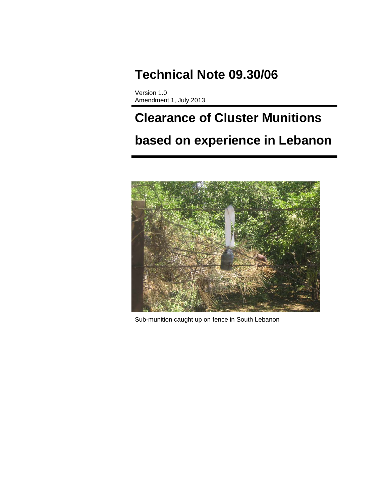# **Technical Note 09.30/06**

Version 1.0 Amendment 1, July 2013

# **Clearance of Cluster Munitions based on experience in Lebanon**



Sub-munition caught up on fence in South Lebanon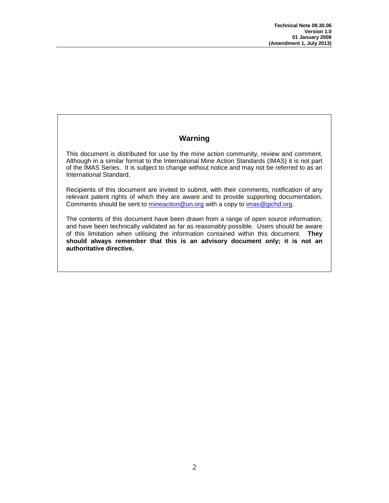# **Warning**

<span id="page-1-0"></span>This document is distributed for use by the mine action community, review and comment. Although in a similar format to the International Mine Action Standards (IMAS) it is not part of the IMAS Series. It is subject to change without notice and may not be referred to as an International Standard.

Recipients of this document are invited to submit, with their comments, notification of any relevant patent rights of which they are aware and to provide supporting documentation. Comments should be sent to mineaction@un.org with a copy to [imas@gichd.org.](mailto:imas@gichd.org)

The contents of this document have been drawn from a range of open source information, and have been technically validated as far as reasonably possible. Users should be aware of this limitation when utilising the information contained within this document. **They should always remember that this is an advisory document only; it is not an authoritative directive.**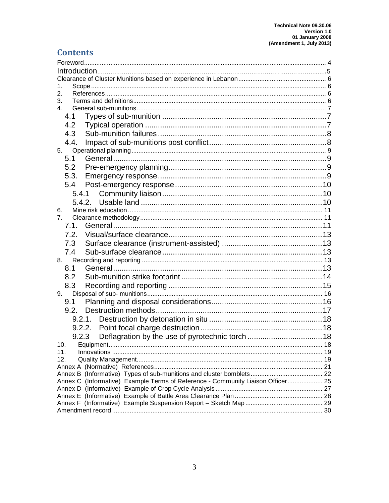# **Contents**

| 1.                                                                              |  |
|---------------------------------------------------------------------------------|--|
| 2.                                                                              |  |
| 3.                                                                              |  |
| 4.                                                                              |  |
| 4.1                                                                             |  |
| 4.2                                                                             |  |
| 4.3                                                                             |  |
| 4.4.                                                                            |  |
| 5.                                                                              |  |
| 5.1                                                                             |  |
| 5.2                                                                             |  |
| 5.3.                                                                            |  |
| 5.4                                                                             |  |
| 5.4.1                                                                           |  |
|                                                                                 |  |
| 6.                                                                              |  |
| 7.                                                                              |  |
| 7.1.                                                                            |  |
| 7.2.                                                                            |  |
| 7.3                                                                             |  |
| 7.4                                                                             |  |
|                                                                                 |  |
| 8.                                                                              |  |
| 8.1                                                                             |  |
| 8.2                                                                             |  |
| 8.3                                                                             |  |
| 9.                                                                              |  |
| 9.1                                                                             |  |
|                                                                                 |  |
| 9.2.1.                                                                          |  |
| 9.2.2.                                                                          |  |
| 9.2.3                                                                           |  |
| 10.                                                                             |  |
| 11.                                                                             |  |
| 12.                                                                             |  |
|                                                                                 |  |
|                                                                                 |  |
| Annex C (Informative) Example Terms of Reference - Community Liaison Officer 25 |  |
|                                                                                 |  |
|                                                                                 |  |
|                                                                                 |  |
|                                                                                 |  |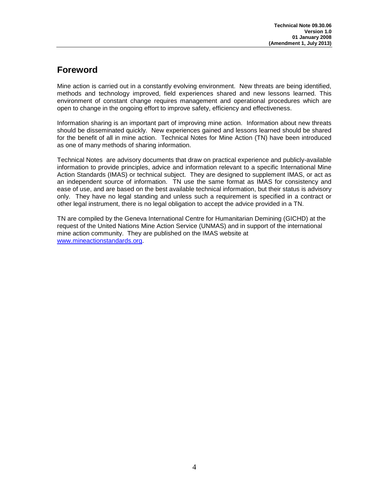# **Foreword**

Mine action is carried out in a constantly evolving environment. New threats are being identified, methods and technology improved, field experiences shared and new lessons learned. This environment of constant change requires management and operational procedures which are open to change in the ongoing effort to improve safety, efficiency and effectiveness.

Information sharing is an important part of improving mine action. Information about new threats should be disseminated quickly. New experiences gained and lessons learned should be shared for the benefit of all in mine action. Technical Notes for Mine Action (TN) have been introduced as one of many methods of sharing information.

Technical Notes are advisory documents that draw on practical experience and publicly-available information to provide principles, advice and information relevant to a specific International Mine Action Standards (IMAS) or technical subject. They are designed to supplement IMAS, or act as an independent source of information. TN use the same format as IMAS for consistency and ease of use, and are based on the best available technical information, but their status is advisory only. They have no legal standing and unless such a requirement is specified in a contract or other legal instrument, there is no legal obligation to accept the advice provided in a TN.

TN are compiled by the Geneva International Centre for Humanitarian Demining (GICHD) at the request of the United Nations Mine Action Service (UNMAS) and in support of the international mine action community. They are published on the IMAS website at [www.mineactionstandards.org.](http://www.mineactionstandards.org/)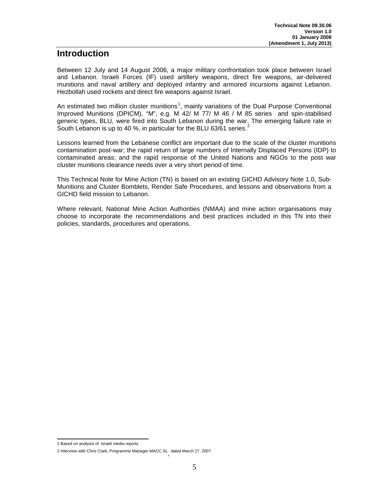# **Introduction**

Between 12 July and 14 August 2006, a major military confrontation took place between Israel and Lebanon. Israeli Forces (IF) used artillery weapons, direct fire weapons, air-delivered munitions and naval artillery and deployed infantry and armored incursions against Lebanon. Hezbollah used rockets and direct fire weapons against Israel.

An estimated two million cluster munitions<sup>[1](#page-5-4)</sup>, mainly variations of the Dual Purpose Conventional Improved Munitions (DPICM), "M", e.g. M 42/ M 77/ M 46 / M 85 series and spin-stabilised generic types, BLU, were fired into South Lebanon during the war. The emerging failure rate in South Lebanon is up to 40 %, in particular for the BLU 63/61 series.

Lessons learned from the Lebanese conflict are important due to the scale of the cluster munitions contamination post-war; the rapid return of large numbers of Internally Displaced Persons (IDP) to contaminated areas; and the rapid response of the United Nations and NGOs to the post war cluster munitions clearance needs over a very short period of time.

This Technical Note for Mine Action (TN) is based on an existing GICHD Advisory Note 1.0, Sub-Munitions and Cluster Bomblets, Render Safe Procedures, and lessons and observations from a GICHD field mission to Lebanon.

Where relevant, National Mine Action Authorities (NMAA) and mine action organisations may choose to incorporate the recommendations and best practices included in this TN into their policies, standards, procedures and operations.

<span id="page-4-1"></span><sup>1</sup> Based on analysis of Israeli media reports

<span id="page-4-0"></span><sup>2</sup> Interview with Chris Clark, Programme Manager MACC SL, dated March 27, 2007.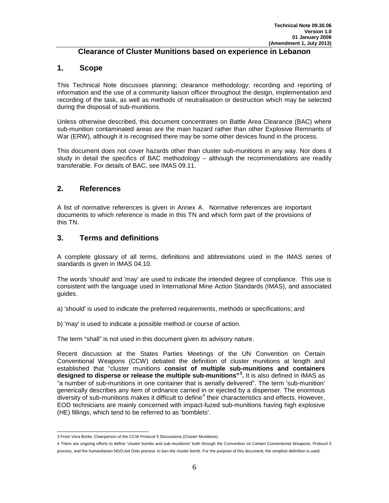#### **Clearance of Cluster Munitions based on experience in Lebanon**

#### <span id="page-5-1"></span><span id="page-5-0"></span>**1. Scope**

This Technical Note discusses planning; clearance methodology; recording and reporting of information and the use of a community liaison officer throughout the design, implementation and recording of the task, as well as methods of neutralisation or destruction which may be selected during the disposal of sub-munitions.

Unless otherwise described, this document concentrates on Battle Area Clearance (BAC) where sub-munition contaminated areas are the main hazard rather than other Explosive Remnants of War (ERW), although it is recognised there may be some other devices found in the process.

This document does not cover hazards other than cluster sub-munitions in any way. Nor does it study in detail the specifics of BAC methodology – although the recommendations are readily transferable. For details of BAC, see IMAS 09.11.

#### <span id="page-5-2"></span>**2. References**

A list of normative references is given in Annex A. Normative references are important documents to which reference is made in this TN and which form part of the provisions of this TN.

#### <span id="page-5-3"></span>**3. Terms and definitions**

A complete glossary of all terms, definitions and abbreviations used in the IMAS series of standards is given in IMAS 04.10.

The words 'should' and 'may' are used to indicate the intended degree of compliance. This use is consistent with the language used in International Mine Action Standards (IMAS), and associated guides.

a) 'should' is used to indicate the preferred requirements, methods or specifications; and

b) 'may' is used to indicate a possible method or course of action.

The term "shall" is not used in this document given its advisory nature.

Recent discussion at the States Parties Meetings of the UN Convention on Certain Conventional Weapons (CCW) debated the definition of cluster munitions at length and established that "cluster munitions **consist of multiple sub-munitions and containers designed to disperse or release the multiple sub-munitions"[3](#page-4-1) .** It is also defined in IMAS as "a number of sub-munitions in one container that is aerially delivered". The term 'sub-munition' generically describes any item of ordnance carried in or ejected by a dispenser. The enormous diversity of sub-munitions makes it difficult to define<sup>[4](#page-5-4)</sup> their characteristics and effects. However, EOD technicians are mainly concerned with impact-fuzed sub-munitions having high explosive (HE) fillings, which tend to be referred to as 'bomblets'.

<span id="page-5-5"></span><sup>3</sup> From Vera Bohle, Chairperson of the CCW Protocol 5 Discussions (Cluster Munitions).

<span id="page-5-4"></span><sup>4</sup> There are ongoing efforts to define "cluster bombs and sub-munitions" both through the Convention on Certain Conventional Weapons, Protocol 5 process, and the humanitarian NGO-led Oslo process to ban the cluster bomb. For the purpose of this document, the simplest definition is used.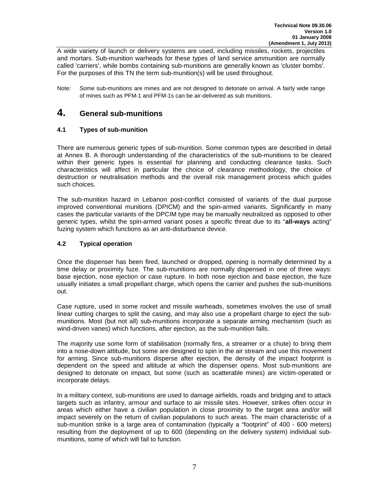A wide variety of launch or delivery systems are used, including missiles, rockets, projectiles and mortars. Sub-munition warheads for these types of land service ammunition are normally called 'carriers', while bombs containing sub-munitions are generally known as 'cluster bombs'. For the purposes of this TN the term sub-munition(s) will be used throughout.

Note: Some sub-munitions are mines and are not designed to detonate on arrival. A fairly wide range of mines such as PFM-1 and PFM-1s can be air-delivered as sub munitions.

# <span id="page-6-0"></span>**4. General sub-munitions**

#### <span id="page-6-1"></span>**4.1 Types of sub-munition**

There are numerous generic types of sub-munition. Some common types are described in detail at Annex B. A thorough understanding of the characteristics of the sub-munitions to be cleared within their generic types is essential for planning and conducting clearance tasks. Such characteristics will affect in particular the choice of clearance methodology, the choice of destruction or neutralisation methods and the overall risk management process which guides such choices.

The sub-munition hazard in Lebanon post-conflict consisted of variants of the dual purpose improved conventional munitions (DPICM) and the spin-armed variants. Significantly in many cases the particular variants of the DPCIM type may be manually neutralized as opposed to other generic types, whilst the spin-armed variant poses a specific threat due to its "**all-ways** acting" fuzing system which functions as an anti-disturbance device.

#### <span id="page-6-2"></span>**4.2 Typical operation**

Once the dispenser has been fired, launched or dropped, opening is normally determined by a time delay or proximity fuze. The sub-munitions are normally dispensed in one of three ways: base ejection, nose ejection or case rupture. In both nose ejection and base ejection, the fuze usually initiates a small propellant charge, which opens the carrier and pushes the sub-munitions out.

Case rupture, used in some rocket and missile warheads, sometimes involves the use of small linear cutting charges to split the casing, and may also use a propellant charge to eject the submunitions. Most (but not all) sub-munitions incorporate a separate arming mechanism (such as wind-driven vanes) which functions, after ejection, as the sub-munition falls.

The majority use some form of stabilisation (normally fins, a streamer or a chute) to bring them into a nose-down attitude, but some are designed to spin in the air stream and use this movement for arming. Since sub-munitions disperse after ejection, the density of the impact footprint is dependent on the speed and altitude at which the dispenser opens. Most sub-munitions are designed to detonate on impact, but some (such as scatterable mines) are victim-operated or incorporate delays.

In a military context, sub-munitions are used to damage airfields, roads and bridging and to attack targets such as infantry, armour and surface to air missile sites. However, strikes often occur in areas which either have a civilian population in close proximity to the target area and/or will impact severely on the return of civilian populations to such areas. The main characteristic of a sub-munition strike is a large area of contamination (typically a "footprint" of 400 - 600 meters) resulting from the deployment of up to 600 (depending on the delivery system) individual submunitions, some of which will fail to function.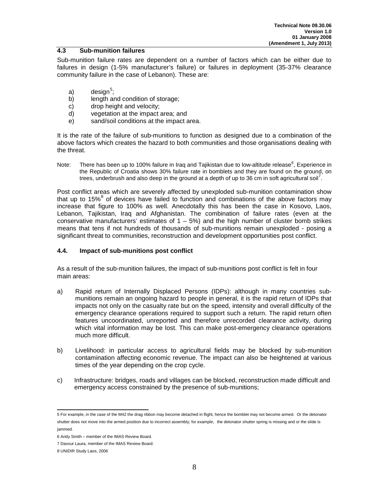#### <span id="page-7-0"></span>**4.3 Sub-munition failures**

Sub-munition failure rates are dependent on a number of factors which can be either due to failures in design (1-5% manufacturer's failure) or failures in deployment (35-37% clearance community failure in the case of Lebanon). These are:

- a) design<sup>[5](#page-5-5)</sup>;
- b) length and condition of storage:
- c) drop height and velocity;
- d) vegetation at the impact area; and
- e) sand/soil conditions at the impact area.

It is the rate of the failure of sub-munitions to function as designed due to a combination of the above factors which creates the hazard to both communities and those organisations dealing with the threat.

Note: There has been up to 100% failure in Iraq and Tajikistan due to low-altitude release<sup>[6](#page-7-2)</sup>, Experience in the Republic of Croatia shows 30% failure rate in bomblets and they are found on the ground, on trees, underbrush and also deep in the ground at a depth of up to 36 cm in soft agricultural soil<sup>[7](#page-7-3)</sup>.

Post conflict areas which are severely affected by unexploded sub-munition contamination show that up to  $15\%$ <sup>[8](#page-7-4)</sup> of devices have failed to function and combinations of the above factors may increase that figure to 100% as well. Anecdotally this has been the case in Kosovo, Laos, Lebanon, Tajikistan, Iraq and Afghanistan. The combination of failure rates (even at the conservative manufacturers' estimates of  $1 - 5\%$ ) and the high number of cluster bomb strikes means that tens if not hundreds of thousands of sub-munitions remain unexploded - posing a significant threat to communities, reconstruction and development opportunities post conflict.

#### <span id="page-7-1"></span>**4.4. Impact of sub-munitions post conflict**

As a result of the sub-munition failures, the impact of sub-munitions post conflict is felt in four main areas:

- a) Rapid return of Internally Displaced Persons (IDPs): although in many countries submunitions remain an ongoing hazard to people in general, it is the rapid return of IDPs that impacts not only on the casualty rate but on the speed, intensity and overall difficulty of the emergency clearance operations required to support such a return. The rapid return often features uncoordinated, unreported and therefore unrecorded clearance activity, during which vital information may be lost. This can make post-emergency clearance operations much more difficult.
- b) Livelihood: in particular access to agricultural fields may be blocked by sub-munition contamination affecting economic revenue. The impact can also be heightened at various times of the year depending on the crop cycle.
- c) Infrastructure: bridges, roads and villages can be blocked, reconstruction made difficult and emergency access constrained by the presence of sub-munitions;

<sup>5</sup> For example, in the case of the M42 the drag ribbon may become detached in flight, hence the bomblet may not become armed. Or the detonator shutter does not move into the armed position due to incorrect assembly; for example, the detonator shutter spring is missing and or the slide is jammed.

<span id="page-7-5"></span><span id="page-7-2"></span><sup>6</sup> Andy Smith – member of the IMAS Review Board.

<span id="page-7-3"></span><sup>7</sup> Davour Laura, member of the IMAS Review Board.

<span id="page-7-4"></span><sup>8</sup> UNIDIR Study Laos, 2006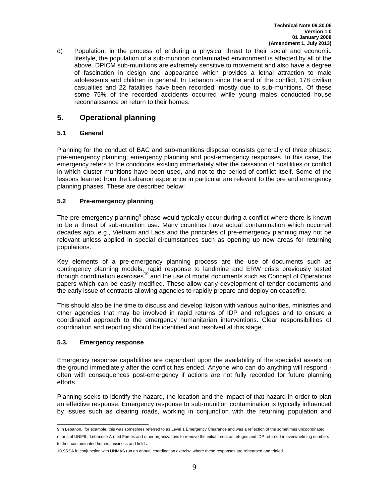d) Population: in the process of enduring a physical threat to their social and economic lifestyle, the population of a sub-munition contaminated environment is affected by all of the above. DPICM sub-munitions are extremely sensitive to movement and also have a degree of fascination in design and appearance which provides a lethal attraction to male adolescents and children in general. In Lebanon since the end of the conflict, 178 civilian casualties and 22 fatalities have been recorded, mostly due to sub-munitions. Of these some 75% of the recorded accidents occurred while young males conducted house reconnaissance on return to their homes.

# <span id="page-8-0"></span>**5. Operational planning**

#### <span id="page-8-1"></span>**5.1 General**

Planning for the conduct of BAC and sub-munitions disposal consists generally of three phases: pre-emergency planning; emergency planning and post-emergency responses. In this case, the emergency refers to the conditions existing immediately after the cessation of hostilities or conflict in which cluster munitions have been used, and not to the period of conflict itself. Some of the lessons learned from the Lebanon experience in particular are relevant to the pre and emergency planning phases. These are described below:

#### <span id="page-8-2"></span>**5.2 Pre-emergency planning**

The pre-emergency planning<sup>[9](#page-7-5)</sup> phase would typically occur during a conflict where there is known to be a threat of sub-munition use. Many countries have actual contamination which occurred decades ago, e.g., Vietnam and Laos and the principles of pre-emergency planning may not be relevant unless applied in special circumstances such as opening up new areas for returning populations.

Key elements of a pre-emergency planning process are the use of documents such as contingency planning models, rapid response to landmine and ERW crisis previously tested through coordination exercises<sup>[10](#page-8-4)</sup> and the use of model documents such as Concept of Operations papers which can be easily modified. These allow early development of tender documents and the early issue of contracts allowing agencies to rapidly prepare and deploy on ceasefire.

This should also be the time to discuss and develop liaison with various authorities, ministries and other agencies that may be involved in rapid returns of IDP and refugees and to ensure a coordinated approach to the emergency humanitarian interventions. Clear responsibilities of coordination and reporting should be identified and resolved at this stage.

#### <span id="page-8-3"></span>**5.3. Emergency response**

Emergency response capabilities are dependant upon the availability of the specialist assets on the ground immediately after the conflict has ended. Anyone who can do anything will respond often with consequences post-emergency if actions are not fully recorded for future planning efforts.

Planning seeks to identify the hazard, the location and the impact of that hazard in order to plan an effective response. Emergency response to sub-munition contamination is typically influenced by issues such as clearing roads, working in conjunction with the returning population and

<sup>9</sup> In Lebanon, for example, this was sometimes referred to as Level 1 Emergency Clearance and was a reflection of the sometimes uncoordinated efforts of UNIFIL, Lebanese Armed Forces and other organizations to remove the initial threat as refuges and IDP returned in overwhelming numbers to their contaminated homes, business and fields.

<span id="page-8-5"></span><span id="page-8-4"></span><sup>10</sup> SRSA in conjunction with UNMAS run an annual coordination exercise where these responses are rehearsed and trialed.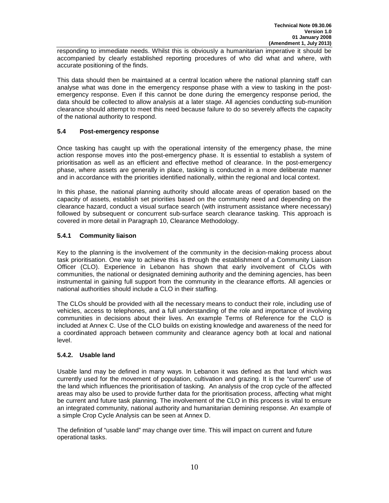responding to immediate needs. Whilst this is obviously a humanitarian imperative it should be accompanied by clearly established reporting procedures of who did what and where, with accurate positioning of the finds.

This data should then be maintained at a central location where the national planning staff can analyse what was done in the emergency response phase with a view to tasking in the postemergency response. Even if this cannot be done during the emergency response period, the data should be collected to allow analysis at a later stage. All agencies conducting sub-munition clearance should attempt to meet this need because failure to do so severely affects the capacity of the national authority to respond.

#### <span id="page-9-0"></span>**5.4 Post-emergency response**

Once tasking has caught up with the operational intensity of the emergency phase, the mine action response moves into the post-emergency phase. It is essential to establish a system of prioritisation as well as an efficient and effective method of clearance. In the post-emergency phase, where assets are generally in place, tasking is conducted in a more deliberate manner and in accordance with the priorities identified nationally, within the regional and local context.

In this phase, the national planning authority should allocate areas of operation based on the capacity of assets, establish set priorities based on the community need and depending on the clearance hazard, conduct a visual surface search (with instrument assistance where necessary) followed by subsequent or concurrent sub-surface search clearance tasking. This approach is covered in more detail in Paragraph 10, Clearance Methodology.

#### <span id="page-9-1"></span>**5.4.1 Community liaison**

Key to the planning is the involvement of the community in the decision-making process about task prioritisation. One way to achieve this is through the establishment of a Community Liaison Officer (CLO). Experience in Lebanon has shown that early involvement of CLOs with communities, the national or designated demining authority and the demining agencies, has been instrumental in gaining full support from the community in the clearance efforts. All agencies or national authorities should include a CLO in their staffing.

The CLOs should be provided with all the necessary means to conduct their role, including use of vehicles, access to telephones, and a full understanding of the role and importance of involving communities in decisions about their lives. An example Terms of Reference for the CLO is included at Annex C. Use of the CLO builds on existing knowledge and awareness of the need for a coordinated approach between community and clearance agency both at local and national level.

#### <span id="page-9-2"></span>**5.4.2. Usable land**

Usable land may be defined in many ways. In Lebanon it was defined as that land which was currently used for the movement of population, cultivation and grazing. It is the "current" use of the land which influences the prioritisation of tasking. An analysis of the crop cycle of the affected areas may also be used to provide further data for the prioritisation process, affecting what might be current and future task planning. The involvement of the CLO in this process is vital to ensure an integrated community, national authority and humanitarian demining response. An example of a simple Crop Cycle Analysis can be seen at Annex D.

The definition of "usable land" may change over time. This will impact on current and future operational tasks.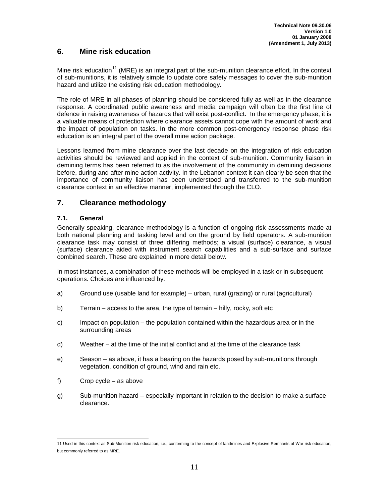### <span id="page-10-0"></span>**6. Mine risk education**

Mine risk education<sup>[11](#page-8-5)</sup> (MRE) is an integral part of the sub-munition clearance effort. In the context of sub-munitions, it is relatively simple to update core safety messages to cover the sub-munition hazard and utilize the existing risk education methodology.

The role of MRE in all phases of planning should be considered fully as well as in the clearance response. A coordinated public awareness and media campaign will often be the first line of defence in raising awareness of hazards that will exist post-conflict. In the emergency phase, it is a valuable means of protection where clearance assets cannot cope with the amount of work and the impact of population on tasks. In the more common post-emergency response phase risk education is an integral part of the overall mine action package.

Lessons learned from mine clearance over the last decade on the integration of risk education activities should be reviewed and applied in the context of sub-munition. Community liaison in demining terms has been referred to as the involvement of the community in demining decisions before, during and after mine action activity. In the Lebanon context it can clearly be seen that the importance of community liaison has been understood and transferred to the sub-munition clearance context in an effective manner, implemented through the CLO.

#### <span id="page-10-1"></span>**7. Clearance methodology**

#### <span id="page-10-2"></span>**7.1. General**

Generally speaking, clearance methodology is a function of ongoing risk assessments made at both national planning and tasking level and on the ground by field operators. A sub-munition clearance task may consist of three differing methods; a visual (surface) clearance, a visual (surface) clearance aided with instrument search capabilities and a sub-surface and surface combined search. These are explained in more detail below.

In most instances, a combination of these methods will be employed in a task or in subsequent operations. Choices are influenced by:

- a) Ground use (usable land for example) urban, rural (grazing) or rural (agricultural)
- b) Terrain access to the area, the type of terrain hilly, rocky, soft etc
- c) Impact on population the population contained within the hazardous area or in the surrounding areas
- d) Weather at the time of the initial conflict and at the time of the clearance task
- e) Season as above, it has a bearing on the hazards posed by sub-munitions through vegetation, condition of ground, wind and rain etc.
- f) Crop cycle as above
- g) Sub-munition hazard especially important in relation to the decision to make a surface clearance.

<span id="page-10-3"></span><sup>11</sup> Used in this context as Sub-Munition risk education, i.e., conforming to the concept of landmines and Explosive Remnants of War risk education, but commonly referred to as MRE.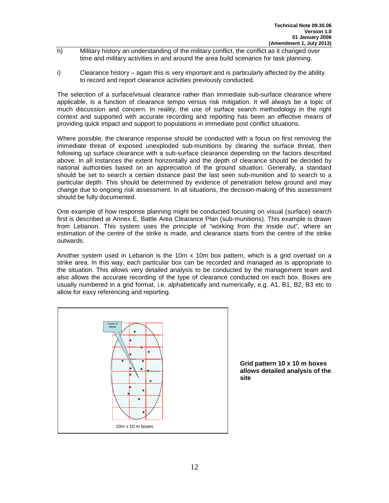- h) Military history an understanding of the military conflict, the conflict as it changed over time and military activities in and around the area build scenarios for task planning.
- i) Clearance history again this is very important and is particularly affected by the ability to record and report clearance activities previously conducted.

The selection of a surface/visual clearance rather than immediate sub-surface clearance where applicable, is a function of clearance tempo versus risk mitigation. It will always be a topic of much discussion and concern. In reality, the use of surface search methodology in the right context and supported with accurate recording and reporting has been an effective means of providing quick impact and support to populations in immediate post conflict situations.

Where possible, the clearance response should be conducted with a focus on first removing the immediate threat of exposed unexploded sub-munitions by clearing the surface threat, then following up surface clearance with a sub-surface clearance depending on the factors described above. In all instances the extent horizontally and the depth of clearance should be decided by national authorities based on an appreciation of the ground situation. Generally, a standard should be set to search a certain distance past the last seen sub-munition and to search to a particular depth. This should be determined by evidence of penetration below ground and may change due to ongoing risk assessment. In all situations, the decision-making of this assessment should be fully documented.

One example of how response planning might be conducted focusing on visual (surface) search first is described at Annex E, Battle Area Clearance Plan (sub-munitions). This example is drawn from Lebanon. This system uses the principle of "working from the inside out", where an estimation of the centre of the strike is made, and clearance starts from the centre of the strike outwards.

Another system used in Lebanon is the 10m  $x$  10m box pattern, which is a grid overlaid on a strike area. In this way, each particular box can be recorded and managed as is appropriate to the situation. This allows very detailed analysis to be conducted by the management team and also allows the accurate recording of the type of clearance conducted on each box. Boxes are usually numbered in a grid format, i.e. alphabetically and numerically, e.g. A1, B1, B2, B3 etc to allow for easy referencing and reporting.



**Grid pattern 10 x 10 m boxes allows detailed analysis of the site**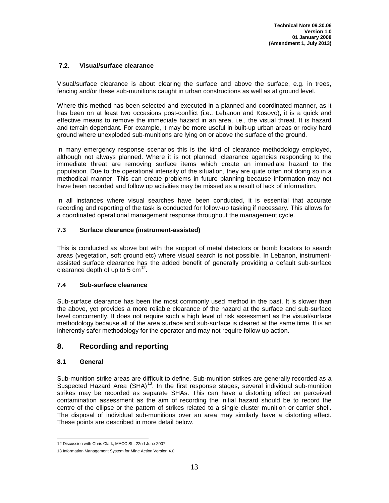#### <span id="page-12-0"></span>**7.2. Visual/surface clearance**

Visual/surface clearance is about clearing the surface and above the surface, e.g. in trees, fencing and/or these sub-munitions caught in urban constructions as well as at ground level.

Where this method has been selected and executed in a planned and coordinated manner, as it has been on at least two occasions post-conflict (i.e., Lebanon and Kosovo), it is a quick and effective means to remove the immediate hazard in an area, i.e., the visual threat. It is hazard and terrain dependant. For example, it may be more useful in built-up urban areas or rocky hard ground where unexploded sub-munitions are lying on or above the surface of the ground.

In many emergency response scenarios this is the kind of clearance methodology employed, although not always planned. Where it is not planned, clearance agencies responding to the immediate threat are removing surface items which create an immediate hazard to the population. Due to the operational intensity of the situation, they are quite often not doing so in a methodical manner. This can create problems in future planning because information may not have been recorded and follow up activities may be missed as a result of lack of information.

In all instances where visual searches have been conducted, it is essential that accurate recording and reporting of the task is conducted for follow-up tasking if necessary. This allows for a coordinated operational management response throughout the management cycle.

#### <span id="page-12-1"></span>**7.3 Surface clearance (instrument-assisted)**

This is conducted as above but with the support of metal detectors or bomb locators to search areas (vegetation, soft ground etc) where visual search is not possible. In Lebanon, instrumentassisted surface clearance has the added benefit of generally providing a default sub-surface clearance depth of up to 5  $cm<sup>12</sup>$  $cm<sup>12</sup>$  $cm<sup>12</sup>$ .

#### <span id="page-12-2"></span>**7.4 Sub-surface clearance**

Sub-surface clearance has been the most commonly used method in the past. It is slower than the above, yet provides a more reliable clearance of the hazard at the surface and sub-surface level concurrently. It does not require such a high level of risk assessment as the visual/surface methodology because all of the area surface and sub-surface is cleared at the same time. It is an inherently safer methodology for the operator and may not require follow up action.

#### <span id="page-12-3"></span>**8. Recording and reporting**

#### <span id="page-12-4"></span>**8.1 General**

Sub-munition strike areas are difficult to define. Sub-munition strikes are generally recorded as a Suspected Hazard Area (SHA)<sup>[13](#page-12-5)</sup>. In the first response stages, several individual sub-munition strikes may be recorded as separate SHAs. This can have a distorting effect on perceived contamination assessment as the aim of recording the initial hazard should be to record the centre of the ellipse or the pattern of strikes related to a single cluster munition or carrier shell. The disposal of individual sub-munitions over an area may similarly have a distorting effect. These points are described in more detail below.

<span id="page-12-6"></span><sup>12</sup> Discussion with Chris Clark, MACC SL, 22nd June 2007

<span id="page-12-5"></span><sup>13</sup> Information Management System for Mine Action Version 4.0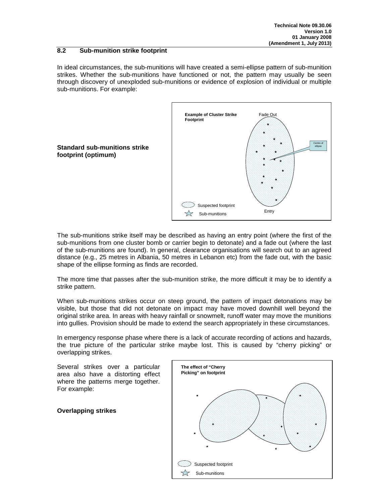#### <span id="page-13-0"></span>**8.2 Sub-munition strike footprint**

In ideal circumstances, the sub-munitions will have created a semi-ellipse pattern of sub-munition strikes. Whether the sub-munitions have functioned or not, the pattern may usually be seen through discovery of unexploded sub-munitions or evidence of explosion of individual or multiple sub-munitions. For example:



**Standard sub-munitions strike footprint (optimum)**

The sub-munitions strike itself may be described as having an entry point (where the first of the sub-munitions from one cluster bomb or carrier begin to detonate) and a fade out (where the last of the sub-munitions are found). In general, clearance organisations will search out to an agreed distance (e.g., 25 metres in Albania, 50 metres in Lebanon etc) from the fade out, with the basic shape of the ellipse forming as finds are recorded.

The more time that passes after the sub-munition strike, the more difficult it may be to identify a strike pattern.

When sub-munitions strikes occur on steep ground, the pattern of impact detonations may be visible, but those that did not detonate on impact may have moved downhill well beyond the original strike area. In areas with heavy rainfall or snowmelt, runoff water may move the munitions into gullies. Provision should be made to extend the search appropriately in these circumstances.

In emergency response phase where there is a lack of accurate recording of actions and hazards, the true picture of the particular strike maybe lost. This is caused by "cherry picking" or overlapping strikes.

Several strikes over a particular area also have a distorting effect where the patterns merge together. For example:

**Overlapping strikes**

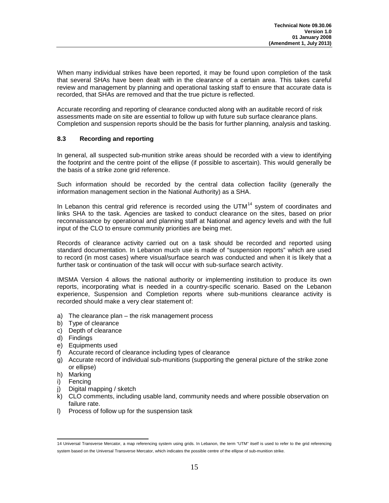When many individual strikes have been reported, it may be found upon completion of the task that several SHAs have been dealt with in the clearance of a certain area. This takes careful review and management by planning and operational tasking staff to ensure that accurate data is recorded, that SHAs are removed and that the true picture is reflected.

Accurate recording and reporting of clearance conducted along with an auditable record of risk assessments made on site are essential to follow up with future sub surface clearance plans. Completion and suspension reports should be the basis for further planning, analysis and tasking.

#### <span id="page-14-0"></span>**8.3 Recording and reporting**

In general, all suspected sub-munition strike areas should be recorded with a view to identifying the footprint and the centre point of the ellipse (if possible to ascertain). This would generally be the basis of a strike zone grid reference.

Such information should be recorded by the central data collection facility (generally the information management section in the National Authority) as a SHA.

In Lebanon this central grid reference is recorded using the UTM $<sup>14</sup>$  $<sup>14</sup>$  $<sup>14</sup>$  system of coordinates and</sup> links SHA to the task. Agencies are tasked to conduct clearance on the sites, based on prior reconnaissance by operational and planning staff at National and agency levels and with the full input of the CLO to ensure community priorities are being met.

Records of clearance activity carried out on a task should be recorded and reported using standard documentation. In Lebanon much use is made of "suspension reports" which are used to record (in most cases) where visual/surface search was conducted and when it is likely that a further task or continuation of the task will occur with sub-surface search activity.

IMSMA Version 4 allows the national authority or implementing institution to produce its own reports, incorporating what is needed in a country-specific scenario. Based on the Lebanon experience, Suspension and Completion reports where sub-munitions clearance activity is recorded should make a very clear statement of:

- a) The clearance plan the risk management process
- b) Type of clearance
- c) Depth of clearance
- d) Findings
- e) Equipments used
- f) Accurate record of clearance including types of clearance
- g) Accurate record of individual sub-munitions (supporting the general picture of the strike zone or ellipse)
- h) Marking
- i) Fencing
- <span id="page-14-1"></span>j) Digital mapping / sketch
- k) CLO comments, including usable land, community needs and where possible observation on failure rate.
- l) Process of follow up for the suspension task

<sup>14</sup> Universal Transverse Mercator, a map referencing system using grids. In Lebanon, the term "UTM" itself is used to refer to the grid referencing system based on the Universal Transverse Mercator, which indicates the possible centre of the ellipse of sub-munition strike.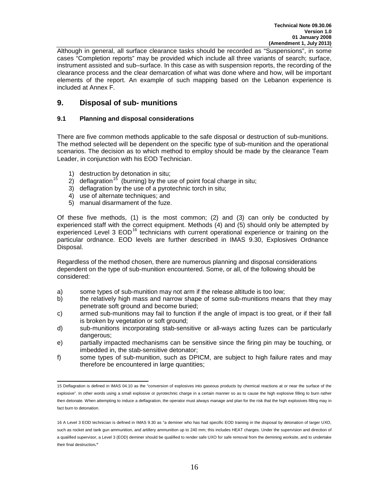Although in general, all surface clearance tasks should be recorded as "Suspensions", in some cases "Completion reports" may be provided which include all three variants of search; surface, instrument assisted and sub–surface. In this case as with suspension reports, the recording of the clearance process and the clear demarcation of what was done where and how, will be important elements of the report. An example of such mapping based on the Lebanon experience is included at Annex F.

#### <span id="page-15-0"></span>**9. Disposal of sub- munitions**

#### <span id="page-15-1"></span>**9.1 Planning and disposal considerations**

There are five common methods applicable to the safe disposal or destruction of sub-munitions. The method selected will be dependent on the specific type of sub-munition and the operational scenarios. The decision as to which method to employ should be made by the clearance Team Leader, in conjunction with his EOD Technician.

- 1) destruction by detonation in situ;
- 2) deflagration<sup>[15](#page-14-1)</sup> (burning) by the use of point focal charge in situ;
- 3) deflagration by the use of a pyrotechnic torch in situ;
- 4) use of alternate techniques; and
- 5) manual disarmament of the fuze.

Of these five methods, (1) is the most common; (2) and (3) can only be conducted by experienced staff with the correct equipment. Methods (4) and (5) should only be attempted by experienced Level 3  $EOD$ <sup>[16](#page-15-2)</sup> technicians with current operational experience or training on the particular ordnance. EOD levels are further described in IMAS 9.30, Explosives Ordnance Disposal.

Regardless of the method chosen, there are numerous planning and disposal considerations dependent on the type of sub-munition encountered. Some, or all, of the following should be considered:

- a) some types of sub-munition may not arm if the release altitude is too low;
- b) the relatively high mass and narrow shape of some sub-munitions means that they may penetrate soft ground and become buried;
- c) armed sub-munitions may fail to function if the angle of impact is too great, or if their fall is broken by vegetation or soft ground;
- d) sub-munitions incorporating stab-sensitive or all-ways acting fuzes can be particularly dangerous:
- e) partially impacted mechanisms can be sensitive since the firing pin may be touching, or imbedded in, the stab-sensitive detonator;
- f) some types of sub-munition, such as DPICM, are subject to high failure rates and may therefore be encountered in large quantities;

<sup>15</sup> Deflagration is defined in IMAS 04.10 as the "conversion of explosives into gaseous products by chemical reactions at or near the surface of the explosive". In other words using a small explosive or pyrotechnic charge in a certain manner so as to cause the high explosive filling to burn rather then detonate. When attempting to induce a deflagration, the operator must always manage and plan for the risk that the high explosives filling may in fact burn to detonation.

<span id="page-15-3"></span><span id="page-15-2"></span><sup>16</sup> A Level 3 EOD technician is defined in IMAS 9.30 as "a deminer who has had specific EOD training in the disposal by detonation of larger UXO, such as rocket and tank gun ammunition, and artillery ammunition up to 240 mm; this includes HEAT charges. Under the supervision and direction of a qualified supervisor, a Level 3 (EOD) deminer should be qualified to render safe UXO for safe removal from the demining worksite, and to undertake their final destruction**."**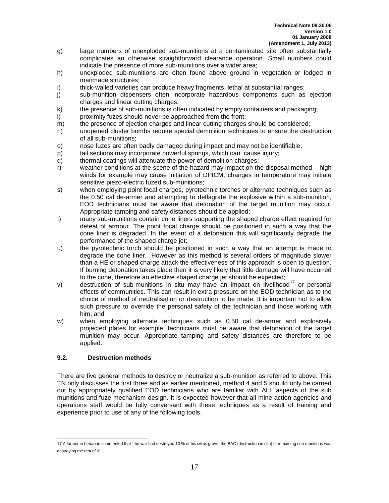- g) large numbers of unexploded sub-munitions at a contaminated site often substantially complicates an otherwise straightforward clearance operation. Small numbers could indicate the presence of more sub-munitions over a wider area;
- h) unexploded sub-munitions are often found above ground in vegetation or lodged in manmade structures;
- i) thick-walled varieties can produce heavy fragments, lethal at substantial ranges;<br>i) sub-munition dispensers often incorporate hazardous components such as
- sub-munition dispensers often incorporate hazardous components such as ejection charges and linear cutting charges;
- k) the presence of sub-munitions is often indicated by empty containers and packaging;<br>l) oroximity fuzes should never be approached from the front:
- proximity fuzes should never be approached from the front;
- m) the presence of ejection charges and linear cutting charges should be considered;
- n) unopened cluster bombs require special demolition techniques to ensure the destruction of all sub-munitions;
- o) nose fuzes are often badly damaged during impact and may not be identifiable;
- p) tail sections may incorporate powerful springs, which can cause injury;
- q) thermal coatings will attenuate the power of demolition charges;
- $r$ ) weather conditions at the scene of the hazard may impact on the disposal method high winds for example may cause initiation of DPICM; changes in temperature may initiate sensitive piezo-electric fuzed sub-munitions;
- s) when employing point focal charges, pyrotechnic torches or alternate techniques such as the 0.50 cal de-armer and attempting to deflagrate the explosive within a sub-munition, EOD technicians must be aware that detonation of the target munition may occur. Appropriate tamping and safety distances should be applied;
- t) many sub-munitions contain cone liners supporting the shaped charge effect required for defeat of armour. The point focal charge should be positioned in such a way that the cone liner is degraded. In the event of a detonation this will significantly degrade the performance of the shaped charge jet;
- u) the pyrotechnic torch should be positioned in such a way that an attempt is made to degrade the cone liner. However as this method is several orders of magnitude slower than a HE or shaped charge attack the effectiveness of this approach is open to question. If burning detonation takes place then it is very likely that little damage will have occurred to the cone, therefore an effective shaped charge jet should be expected;
- v) destruction of sub-munitions in situ may have an impact on livelihood<sup>[17](#page-15-3)</sup> or personal effects of communities. This can result in extra pressure on the EOD technician as to the choice of method of neutralisation or destruction to be made. It is important not to allow such pressure to override the personal safety of the technician and those working with him; and
- w) when employing alternate techniques such as 0.50 cal de-armer and explosively projected plates for example, technicians must be aware that detonation of the target munition may occur. Appropriate tamping and safety distances are therefore to be applied.

#### <span id="page-16-0"></span>**9.2. Destruction methods**

There are five general methods to destroy or neutralize a sub-munition as referred to above. This TN only discusses the first three and as earlier mentioned, method 4 and 5 should only be carried out by appropriately qualified EOD technicians who are familiar with ALL aspects of the sub munitions and fuze mechanism design. It is expected however that all mine action agencies and operations staff would be fully conversant with these techniques as a result of training and experience prior to use of any of the following tools.

<span id="page-16-1"></span><sup>17</sup> A farmer in Lebanon commented that "the war had destroyed 10 % of his citrus grove, the BAC (destruction in situ) of remaining sub-munitions was destroying the rest of it".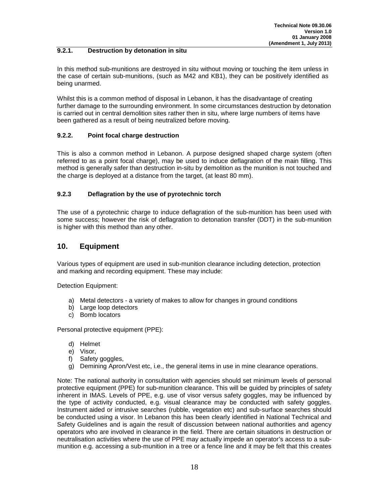#### <span id="page-17-0"></span>**9.2.1. Destruction by detonation in situ**

In this method sub-munitions are destroyed in situ without moving or touching the item unless in the case of certain sub-munitions, (such as M42 and KB1), they can be positively identified as being unarmed.

Whilst this is a common method of disposal in Lebanon, it has the disadvantage of creating further damage to the surrounding environment. In some circumstances destruction by detonation is carried out in central demolition sites rather then in situ, where large numbers of items have been gathered as a result of being neutralized before moving.

#### <span id="page-17-1"></span>**9.2.2. Point focal charge destruction**

This is also a common method in Lebanon. A purpose designed shaped charge system (often referred to as a point focal charge), may be used to induce deflagration of the main filling. This method is generally safer than destruction in-situ by demolition as the munition is not touched and the charge is deployed at a distance from the target, (at least 80 mm).

#### <span id="page-17-2"></span>**9.2.3 Deflagration by the use of pyrotechnic torch**

The use of a pyrotechnic charge to induce deflagration of the sub-munition has been used with some success; however the risk of deflagration to detonation transfer (DDT) in the sub-munition is higher with this method than any other.

## <span id="page-17-3"></span>**10. Equipment**

Various types of equipment are used in sub-munition clearance including detection, protection and marking and recording equipment. These may include:

Detection Equipment:

- a) Metal detectors a variety of makes to allow for changes in ground conditions
- b) Large loop detectors
- c) Bomb locators

Personal protective equipment (PPE):

- d) Helmet
- e) Visor,
- f) Safety goggles,
- g) Demining Apron/Vest etc, i.e., the general items in use in mine clearance operations.

Note: The national authority in consultation with agencies should set minimum levels of personal protective equipment (PPE) for sub-munition clearance. This will be guided by principles of safety inherent in IMAS. Levels of PPE, e.g. use of visor versus safety goggles, may be influenced by the type of activity conducted, e.g. visual clearance may be conducted with safety goggles. Instrument aided or intrusive searches (rubble, vegetation etc) and sub-surface searches should be conducted using a visor. In Lebanon this has been clearly identified in National Technical and Safety Guidelines and is again the result of discussion between national authorities and agency operators who are involved in clearance in the field. There are certain situations in destruction or neutralisation activities where the use of PPE may actually impede an operator's access to a submunition e.g. accessing a sub-munition in a tree or a fence line and it may be felt that this creates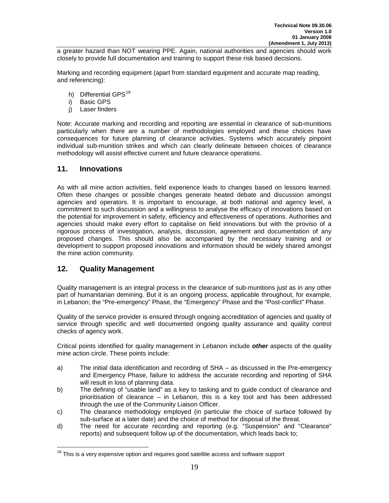a greater hazard than NOT wearing PPE. Again, national authorities and agencies should work closely to provide full documentation and training to support these risk based decisions.

Marking and recording equipment (apart from standard equipment and accurate map reading, and referencing):

- h) Differential GPS<sup>[18](#page-16-1)</sup>
- i) Basic GPS
- j) Laser finders

Note: Accurate marking and recording and reporting are essential in clearance of sub-munitions particularly when there are a number of methodologies employed and these choices have consequences for future planning of clearance activities. Systems which accurately pinpoint individual sub-munition strikes and which can clearly delineate between choices of clearance methodology will assist effective current and future clearance operations.

#### <span id="page-18-0"></span>**11. Innovations**

As with all mine action activities, field experience leads to changes based on lessons learned. Often these changes or possible changes generate heated debate and discussion amongst agencies and operators. It is important to encourage, at both national and agency level, a commitment to such discussion and a willingness to analyse the efficacy of innovations based on the potential for improvement in safety, efficiency and effectiveness of operations. Authorities and agencies should make every effort to capitalise on field innovations but with the proviso of a rigorous process of investigation, analysis, discussion, agreement and documentation of any proposed changes. This should also be accompanied by the necessary training and or development to support proposed innovations and information should be widely shared amongst the mine action community.

#### <span id="page-18-1"></span>**12. Quality Management**

Quality management is an integral process in the clearance of sub-munitions just as in any other part of humanitarian demining. But it is an ongoing process, applicable throughout, for example, in Lebanon; the "Pre-emergency" Phase, the "Emergency" Phase and the "Post-conflict" Phase.

Quality of the service provider is ensured through ongoing accreditation of agencies and quality of service through specific and well documented ongoing quality assurance and quality control checks of agency work.

Critical points identified for quality management in Lebanon include *other* aspects of the quality mine action circle. These points include:

- a) The initial data identification and recording of SHA as discussed in the Pre-emergency and Emergency Phase, failure to address the accurate recording and reporting of SHA will result in loss of planning data.
- b) The defining of "usable land" as a key to tasking and to guide conduct of clearance and prioritisation of clearance – in Lebanon, this is a key tool and has been addressed through the use of the Community Liaison Officer.
- c) The clearance methodology employed (in particular the choice of surface followed by sub-surface at a later date) and the choice of method for disposal of the threat.
- d) The need for accurate recording and reporting (e.g. "Suspension" and "Clearance" reports) and subsequent follow up of the documentation, which leads back to;

<span id="page-18-2"></span> $18$  This is a very expensive option and requires good satellite access and software support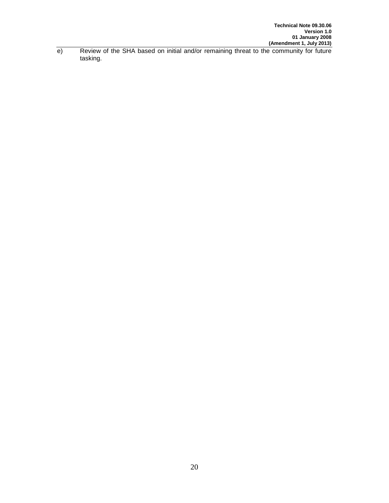e) Review of the SHA based on initial and/or remaining threat to the community for future tasking.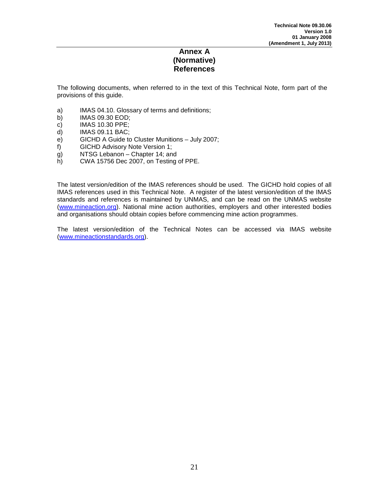### **Annex A (Normative) References**

<span id="page-20-0"></span>The following documents, when referred to in the text of this Technical Note, form part of the provisions of this guide.

- a) IMAS 04.10. Glossary of terms and definitions;
- b) IMAS 09.30 EOD;
- c) IMAS 10.30 PPE;
- d) IMAS 09.11 BAC;<br>e) GICHD A Guide to
- e) GICHD A Guide to Cluster Munitions July 2007;<br>f) GICHD Advisory Note Version 1;
- GICHD Advisory Note Version 1;
- g) NTSG Lebanon Chapter 14; and<br>h) CWA 15756 Dec 2007, on Testing
- CWA 15756 Dec 2007, on Testing of PPE.

The latest version/edition of the IMAS references should be used. The GICHD hold copies of all IMAS references used in this Technical Note. A register of the latest version/edition of the IMAS standards and references is maintained by UNMAS, and can be read on the UNMAS website [\(www.mineaction.org\)](http://www.mineaction.org/). National mine action authorities, employers and other interested bodies and organisations should obtain copies before commencing mine action programmes.

The latest version/edition of the Technical Notes can be accessed via IMAS website [\(www.mineactionstandards.org\)](http://www.mineactionstandards.org/).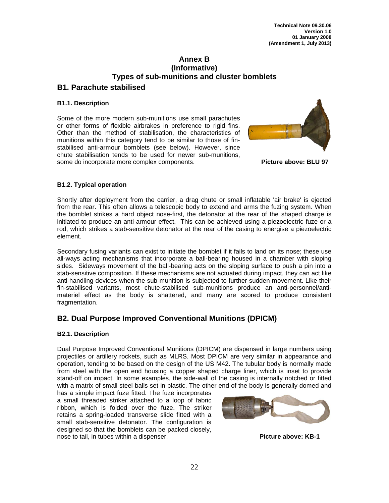# **Annex B (Informative) Types of sub-munitions and cluster bomblets**

# <span id="page-21-0"></span>**B1. Parachute stabilised**

#### **B1.1. Description**

Some of the more modern sub-munitions use small parachutes or other forms of flexible airbrakes in preference to rigid fins. Other than the method of stabilisation, the characteristics of munitions within this category tend to be similar to those of finstabilised anti-armour bomblets (see below). However, since chute stabilisation tends to be used for newer sub-munitions, some do incorporate more complex components. **Picture above: BLU 97**



#### **B1.2. Typical operation**

Shortly after deployment from the carrier, a drag chute or small inflatable 'air brake' is ejected from the rear. This often allows a telescopic body to extend and arms the fuzing system. When the bomblet strikes a hard object nose-first, the detonator at the rear of the shaped charge is initiated to produce an anti-armour effect. This can be achieved using a piezoelectric fuze or a rod, which strikes a stab-sensitive detonator at the rear of the casing to energise a piezoelectric element.

Secondary fusing variants can exist to initiate the bomblet if it fails to land on its nose; these use all-ways acting mechanisms that incorporate a ball-bearing housed in a chamber with sloping sides. Sideways movement of the ball-bearing acts on the sloping surface to push a pin into a stab-sensitive composition. If these mechanisms are not actuated during impact, they can act like anti-handling devices when the sub-munition is subjected to further sudden movement. Like their fin-stabilised variants, most chute-stabilised sub-munitions produce an anti-personnel/antimateriel effect as the body is shattered, and many are scored to produce consistent fragmentation.

# **B2. Dual Purpose Improved Conventional Munitions (DPICM)**

#### **B2.1. Description**

Dual Purpose Improved Conventional Munitions (DPICM) are dispensed in large numbers using projectiles or artillery rockets, such as MLRS. Most DPICM are very similar in appearance and operation, tending to be based on the design of the US M42. The tubular body is normally made from steel with the open end housing a copper shaped charge liner, which is inset to provide stand-off on impact. In some examples, the side-wall of the casing is internally notched or fitted with a matrix of small steel balls set in plastic. The other end of the body is generally domed and

has a simple impact fuze fitted. The fuze incorporates a small threaded striker attached to a loop of fabric ribbon, which is folded over the fuze. The striker retains a spring-loaded transverse slide fitted with a small stab-sensitive detonator. The configuration is designed so that the bomblets can be packed closely, nose to tail, in tubes within a dispenser. **Picture above: KB-1**

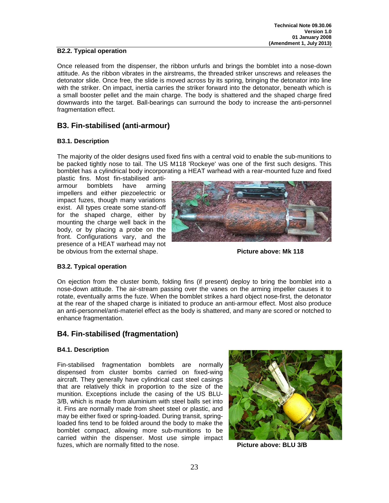#### **B2.2. Typical operation**

Once released from the dispenser, the ribbon unfurls and brings the bomblet into a nose-down attitude. As the ribbon vibrates in the airstreams, the threaded striker unscrews and releases the detonator slide. Once free, the slide is moved across by its spring, bringing the detonator into line with the striker. On impact, inertia carries the striker forward into the detonator, beneath which is a small booster pellet and the main charge. The body is shattered and the shaped charge fired downwards into the target. Ball-bearings can surround the body to increase the anti-personnel fragmentation effect.

# **B3. Fin-stabilised (anti-armour)**

#### **B3.1. Description**

The majority of the older designs used fixed fins with a central void to enable the sub-munitions to be packed tightly nose to tail. The US M118 'Rockeye' was one of the first such designs. This bomblet has a cylindrical body incorporating a HEAT warhead with a rear-mounted fuze and fixed

plastic fins. Most fin-stabilised antiarmour bomblets have arming impellers and either piezoelectric or impact fuzes, though many variations exist. All types create some stand-off for the shaped charge, either by mounting the charge well back in the body, or by placing a probe on the front. Configurations vary, and the presence of a HEAT warhead may not be obvious from the external shape. **Picture above: Mk 118**



#### **B3.2. Typical operation**

On ejection from the cluster bomb, folding fins (if present) deploy to bring the bomblet into a nose-down attitude. The air-stream passing over the vanes on the arming impeller causes it to rotate, eventually arms the fuze. When the bomblet strikes a hard object nose-first, the detonator at the rear of the shaped charge is initiated to produce an anti-armour effect. Most also produce an anti-personnel/anti-materiel effect as the body is shattered, and many are scored or notched to enhance fragmentation.

# **B4. Fin-stabilised (fragmentation)**

#### **B4.1. Description**

Fin-stabilised fragmentation bomblets are normally dispensed from cluster bombs carried on fixed-wing aircraft. They generally have cylindrical cast steel casings that are relatively thick in proportion to the size of the munition. Exceptions include the casing of the US BLU-3/B, which is made from aluminium with steel balls set into it. Fins are normally made from sheet steel or plastic, and may be either fixed or spring-loaded. During transit, springloaded fins tend to be folded around the body to make the bomblet compact, allowing more sub-munitions to be carried within the dispenser. Most use simple impact fuzes, which are normally fitted to the nose. **Picture above: BLU 3/B**

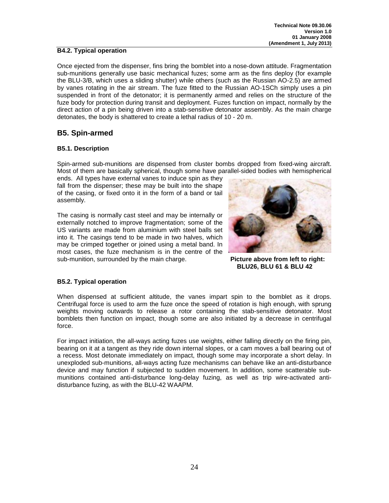#### **B4.2. Typical operation**

Once ejected from the dispenser, fins bring the bomblet into a nose-down attitude. Fragmentation sub-munitions generally use basic mechanical fuzes; some arm as the fins deploy (for example the BLU-3/B, which uses a sliding shutter) while others (such as the Russian AO-2.5) are armed by vanes rotating in the air stream. The fuze fitted to the Russian AO-1SCh simply uses a pin suspended in front of the detonator; it is permanently armed and relies on the structure of the fuze body for protection during transit and deployment. Fuzes function on impact, normally by the direct action of a pin being driven into a stab-sensitive detonator assembly. As the main charge detonates, the body is shattered to create a lethal radius of 10 - 20 m.

## **B5. Spin-armed**

#### **B5.1. Description**

Spin-armed sub-munitions are dispensed from cluster bombs dropped from fixed-wing aircraft. Most of them are basically spherical, though some have parallel-sided bodies with hemispherical

ends. All types have external vanes to induce spin as they fall from the dispenser; these may be built into the shape of the casing, or fixed onto it in the form of a band or tail assembly.

The casing is normally cast steel and may be internally or externally notched to improve fragmentation; some of the US variants are made from aluminium with steel balls set into it. The casings tend to be made in two halves, which may be crimped together or joined using a metal band. In most cases, the fuze mechanism is in the centre of the sub-munition, surrounded by the main charge. **Picture above from left to right:** 



**BLU26, BLU 61 & BLU 42**

#### **B5.2. Typical operation**

When dispensed at sufficient altitude, the vanes impart spin to the bomblet as it drops. Centrifugal force is used to arm the fuze once the speed of rotation is high enough, with sprung weights moving outwards to release a rotor containing the stab-sensitive detonator. Most bomblets then function on impact, though some are also initiated by a decrease in centrifugal force.

For impact initiation, the all-ways acting fuzes use weights, either falling directly on the firing pin, bearing on it at a tangent as they ride down internal slopes, or a cam moves a ball bearing out of a recess. Most detonate immediately on impact, though some may incorporate a short delay. In unexploded sub-munitions, all-ways acting fuze mechanisms can behave like an anti-disturbance device and may function if subjected to sudden movement. In addition, some scatterable submunitions contained anti-disturbance long-delay fuzing, as well as trip wire-activated antidisturbance fuzing, as with the BLU-42 WAAPM.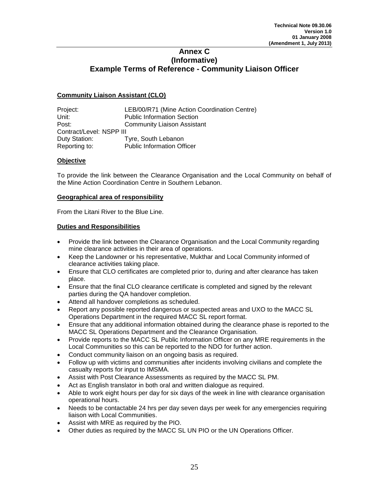#### <span id="page-24-0"></span>**Annex C (Informative) Example Terms of Reference - Community Liaison Officer**

#### **Community Liaison Assistant (CLO)**

| Project:                 | LEB/00/R71 (Mine Action Coordination Centre) |  |  |  |  |
|--------------------------|----------------------------------------------|--|--|--|--|
| Unit:                    | <b>Public Information Section</b>            |  |  |  |  |
| Post:                    | <b>Community Liaison Assistant</b>           |  |  |  |  |
| Contract/Level: NSPP III |                                              |  |  |  |  |
| Duty Station:            | Tyre, South Lebanon                          |  |  |  |  |
| Reporting to:            | <b>Public Information Officer</b>            |  |  |  |  |

#### **Objective**

To provide the link between the Clearance Organisation and the Local Community on behalf of the Mine Action Coordination Centre in Southern Lebanon.

#### **Geographical area of responsibility**

From the Litani River to the Blue Line.

#### **Duties and Responsibilities**

- Provide the link between the Clearance Organisation and the Local Community regarding mine clearance activities in their area of operations.
- Keep the Landowner or his representative, Mukthar and Local Community informed of clearance activities taking place.
- Ensure that CLO certificates are completed prior to, during and after clearance has taken place.
- Ensure that the final CLO clearance certificate is completed and signed by the relevant parties during the QA handover completion.
- Attend all handover completions as scheduled.
- Report any possible reported dangerous or suspected areas and UXO to the MACC SL Operations Department in the required MACC SL report format.
- Ensure that any additional information obtained during the clearance phase is reported to the MACC SL Operations Department and the Clearance Organisation.
- Provide reports to the MACC SL Public Information Officer on any MRE requirements in the Local Communities so this can be reported to the NDO for further action.
- Conduct community liaison on an ongoing basis as required.
- Follow up with victims and communities after incidents involving civilians and complete the casualty reports for input to IMSMA.
- Assist with Post Clearance Assessments as required by the MACC SL PM.
- Act as English translator in both oral and written dialogue as required.
- Able to work eight hours per day for six days of the week in line with clearance organisation operational hours.
- Needs to be contactable 24 hrs per day seven days per week for any emergencies requiring liaison with Local Communities.
- Assist with MRE as required by the PIO.
- Other duties as required by the MACC SL UN PIO or the UN Operations Officer.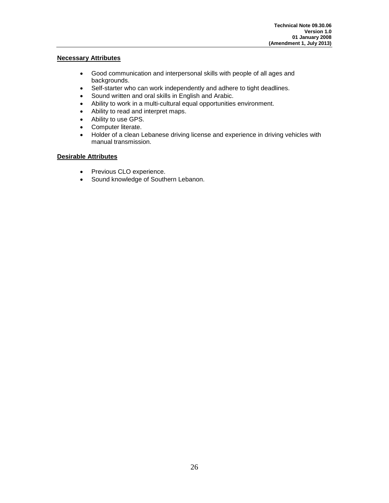#### **Necessary Attributes**

- Good communication and interpersonal skills with people of all ages and backgrounds.
- Self-starter who can work independently and adhere to tight deadlines.
- Sound written and oral skills in English and Arabic.
- Ability to work in a multi-cultural equal opportunities environment.
- Ability to read and interpret maps.
- Ability to use GPS.
- Computer literate.
- Holder of a clean Lebanese driving license and experience in driving vehicles with manual transmission.

#### **Desirable Attributes**

- Previous CLO experience.
- Sound knowledge of Southern Lebanon.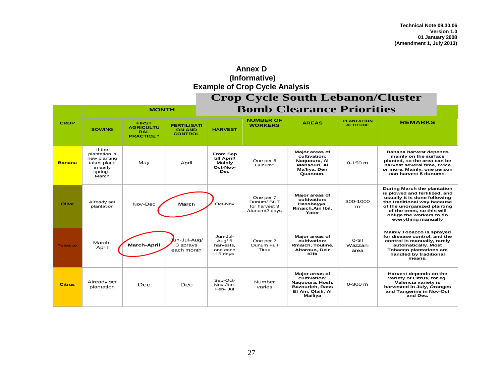<span id="page-26-0"></span>

| (Informative)<br><b>Example of Crop Cycle Analysis</b> |                                                                                         |                                                                     |                                                       |                                                                           |                                                          |                                                                                                              |                                      |                                                                                                                                                                                                                                             |
|--------------------------------------------------------|-----------------------------------------------------------------------------------------|---------------------------------------------------------------------|-------------------------------------------------------|---------------------------------------------------------------------------|----------------------------------------------------------|--------------------------------------------------------------------------------------------------------------|--------------------------------------|---------------------------------------------------------------------------------------------------------------------------------------------------------------------------------------------------------------------------------------------|
| <b>Crop Cycle South Lebanon/Cluster</b>                |                                                                                         |                                                                     |                                                       |                                                                           |                                                          |                                                                                                              |                                      |                                                                                                                                                                                                                                             |
|                                                        | <b>MONTH</b>                                                                            |                                                                     |                                                       | <b>Bomb Clearance Priorities</b>                                          |                                                          |                                                                                                              |                                      |                                                                                                                                                                                                                                             |
| <b>CROP</b>                                            | <b>SOWING</b>                                                                           | <b>FIRST</b><br><b>AGRICULTU</b><br><b>RAL</b><br><b>PRACTICE *</b> | <b>FERTILISATI</b><br><b>ON AND</b><br><b>CONTROL</b> | <b>HARVEST</b>                                                            | <b>NUMBER OF</b><br><b>WORKERS</b>                       | <b>AREAS</b>                                                                                                 | <b>PLANTATION</b><br><b>ALTITUDE</b> | <b>REMARKS</b>                                                                                                                                                                                                                              |
| <b>Banana</b>                                          | If the<br>plantation is<br>new planting<br>takes place<br>in early<br>spring -<br>March | May                                                                 | April                                                 | <b>From Sep</b><br>till April/<br><b>Mainly</b><br>Oct-Nov-<br><b>Dec</b> | One per 5<br>Dunum*                                      | <b>Major areas of</b><br>cultivation:<br>Naguoura, Al<br>Mansouri, Al<br>Ma'liya, Deir<br>Quanoun.           | $0-150$ m                            | Banana harvest depends<br>mainly on the surface<br>planted, so the area can be<br>harvest several time, twice<br>or more. Mainly, one person<br>can harvest 5 dunums.                                                                       |
| Olive                                                  | Already set<br>plantation                                                               | Nov-Dec                                                             | <b>March</b>                                          | Oct-Nov                                                                   | One per 7<br>Dunum/BUT<br>for harvest 3<br>/dunum/2 days | Major areas of<br>cultivation:<br>Hassbayya,<br>Rmaich, Ain Ibil,<br>Yater                                   | 300-1000<br>m                        | During March the plantation<br>is plowed and fertilized, and<br>usually it is done following<br>the traditional way because<br>of the unorganized planting<br>of the trees, so this will<br>oblige the workers to do<br>everything manually |
| <b>Tobacco</b>                                         | March-<br>April                                                                         | <b>March-April</b>                                                  | Jun-Jul-Aug/<br>3 sprays<br>each month                | Jun-Jul-<br>Aug/ $6$<br>harvests.<br>one each<br>15 days                  | One per 2<br>Dunum Full<br>Time                          | Major areas of<br>cultivation:<br>Rmaich, Touline,<br>Aitaroun, Deir<br>Kifa                                 | O-till<br>Wazzani<br>area            | <b>Mainly Tobacco is sprayed</b><br>for disease control, and the<br>control is manually, rarely<br>automatically. Most<br><b>Tobacco plantations are</b><br>handled by traditional<br>means.                                                |
| <b>Citrus</b>                                          | Already set<br>plantation                                                               | Dec                                                                 | Dec                                                   | Sep-Oct-<br>Nov-Jan-<br>Feb- Jul                                          | Number<br>varies                                         | Major areas of<br>cultivation:<br>Naquoura, Hosh,<br><b>Bazourieh, Rass</b><br>El Ain, Qlaili, Al<br>Mailiya | $0 - 300$ m                          | Harvest depends on the<br>variety of Citrus, for eq.<br>Valencia variety is<br>harvested in July, Oranges<br>and Tangerine in Nov-Oct<br>and Dec.                                                                                           |

**Annex D**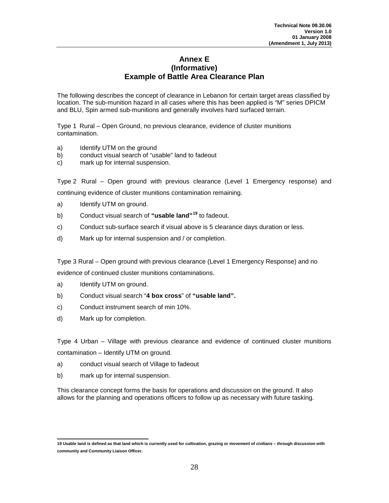#### **Annex E (Informative) Example of Battle Area Clearance Plan**

<span id="page-27-0"></span>The following describes the concept of clearance in Lebanon for certain target areas classified by location. The sub-munition hazard in all cases where this has been applied is "M" series DPICM and BLU, Spin armed sub-munitions and generally involves hard surfaced terrain.

Type 1 Rural – Open Ground, no previous clearance, evidence of cluster munitions contamination.

- a) Identify UTM on the ground
- b) conduct visual search of "usable" land to fadeout
- c) mark up for internal suspension.

Type 2 Rural – Open ground with previous clearance (Level 1 Emergency response) and continuing evidence of cluster munitions contamination remaining.

- a) Identify UTM on ground.
- b) Conduct visual search of **"usable land"[19](#page-18-2)** to fadeout.
- c) Conduct sub-surface search if visual above is 5 clearance days duration or less.
- d) Mark up for internal suspension and / or completion.

Type 3 Rural – Open ground with previous clearance (Level 1 Emergency Response) and no evidence of continued cluster munitions contaminations.

- a) Identify UTM on ground.
- b) Conduct visual search "**4 box cross**" of **"usable land".**
- c) Conduct instrument search of min 10%.
- d) Mark up for completion.

Type 4 Urban – Village with previous clearance and evidence of continued cluster munitions contamination – Identify UTM on ground.

- a) conduct visual search of Village to fadeout
- b) mark up for internal suspension.

This clearance concept forms the basis for operations and discussion on the ground. It also allows for the planning and operations officers to follow up as necessary with future tasking.

**<sup>19</sup> Usable land is defined as that land which is currently used for cultivation, grazing or movement of civilians – through discussion with community and Community Liaison Officer.**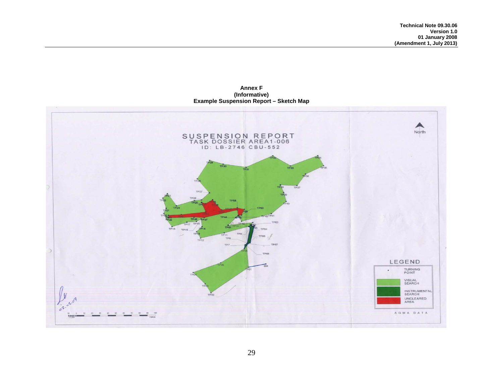**Annex F (Informative) Example Suspension Report – Sketch Map**

<span id="page-28-0"></span>